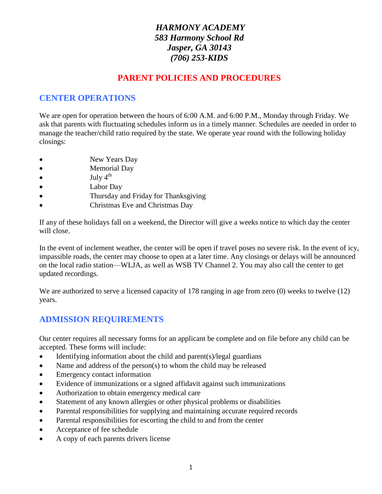## *HARMONY ACADEMY 583 Harmony School Rd Jasper, GA 30143 (706) 253-KIDS*

## **PARENT POLICIES AND PROCEDURES**

### **CENTER OPERATIONS**

We are open for operation between the hours of 6:00 A.M. and 6:00 P.M., Monday through Friday. We ask that parents with fluctuating schedules inform us in a timely manner. Schedules are needed in order to manage the teacher/child ratio required by the state. We operate year round with the following holiday closings:

- New Years Day
- Memorial Day
- $\bullet$  July 4<sup>th</sup>
- Labor Day
- Thursday and Friday for Thanksgiving
- Christmas Eve and Christmas Day

If any of these holidays fall on a weekend, the Director will give a weeks notice to which day the center will close.

In the event of inclement weather, the center will be open if travel poses no severe risk. In the event of icy, impassible roads, the center may choose to open at a later time. Any closings or delays will be announced on the local radio station—WLJA, as well as WSB TV Channel 2. You may also call the center to get updated recordings.

We are authorized to serve a licensed capacity of 178 ranging in age from zero (0) weeks to twelve (12) years.

## **ADMISSION REQUIREMENTS**

Our center requires all necessary forms for an applicant be complete and on file before any child can be accepted. These forms will include:

- Identifying information about the child and parent(s)/legal guardians
- Name and address of the person(s) to whom the child may be released
- Emergency contact information
- Evidence of immunizations or a signed affidavit against such immunizations
- Authorization to obtain emergency medical care
- Statement of any known allergies or other physical problems or disabilities
- Parental responsibilities for supplying and maintaining accurate required records
- Parental responsibilities for escorting the child to and from the center
- Acceptance of fee schedule
- A copy of each parents drivers license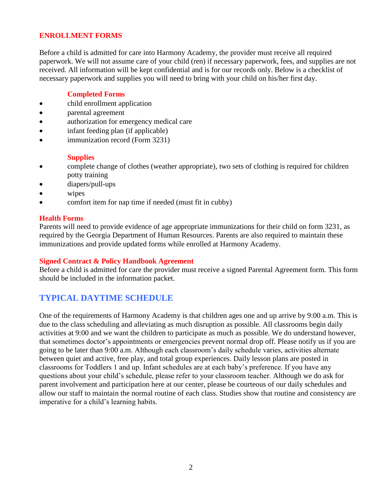### **ENROLLMENT FORMS**

Before a child is admitted for care into Harmony Academy, the provider must receive all required paperwork. We will not assume care of your child (ren) if necessary paperwork, fees, and supplies are not received. All information will be kept confidential and is for our records only. Below is a checklist of necessary paperwork and supplies you will need to bring with your child on his/her first day.

#### **Completed Forms**

- child enrollment application
- **parental agreement**
- authorization for emergency medical care
- infant feeding plan (if applicable)
- immunization record (Form 3231)

#### **Supplies**

- complete change of clothes (weather appropriate), two sets of clothing is required for children potty training
- diapers/pull-ups
- wipes
- comfort item for nap time if needed (must fit in cubby)

#### **Health Forms**

Parents will need to provide evidence of age appropriate immunizations for their child on form 3231, as required by the Georgia Department of Human Resources. Parents are also required to maintain these immunizations and provide updated forms while enrolled at Harmony Academy.

#### **Signed Contract & Policy Handbook Agreement**

Before a child is admitted for care the provider must receive a signed Parental Agreement form. This form should be included in the information packet.

### **TYPICAL DAYTIME SCHEDULE**

One of the requirements of Harmony Academy is that children ages one and up arrive by 9:00 a.m. This is due to the class scheduling and alleviating as much disruption as possible. All classrooms begin daily activities at 9:00 and we want the children to participate as much as possible. We do understand however, that sometimes doctor's appointments or emergencies prevent normal drop off. Please notify us if you are going to be later than 9:00 a.m. Although each classroom's daily schedule varies, activities alternate between quiet and active, free play, and total group experiences. Daily lesson plans are posted in classrooms for Toddlers 1 and up. Infant schedules are at each baby's preference. If you have any questions about your child's schedule, please refer to your classroom teacher. Although we do ask for parent involvement and participation here at our center, please be courteous of our daily schedules and allow our staff to maintain the normal routine of each class. Studies show that routine and consistency are imperative for a child's learning habits.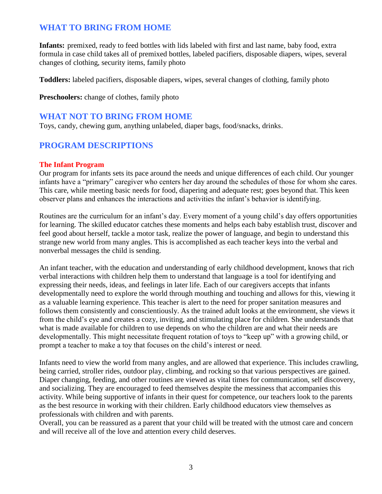### **WHAT TO BRING FROM HOME**

**Infants:** premixed, ready to feed bottles with lids labeled with first and last name, baby food, extra formula in case child takes all of premixed bottles, labeled pacifiers, disposable diapers, wipes, several changes of clothing, security items, family photo

**Toddlers:** labeled pacifiers, disposable diapers, wipes, several changes of clothing, family photo

**Preschoolers:** change of clothes, family photo

### **WHAT NOT TO BRING FROM HOME**

Toys, candy, chewing gum, anything unlabeled, diaper bags, food/snacks, drinks.

## **PROGRAM DESCRIPTIONS**

### **The Infant Program**

Our program for infants sets its pace around the needs and unique differences of each child. Our younger infants have a "primary" caregiver who centers her day around the schedules of those for whom she cares. This care, while meeting basic needs for food, diapering and adequate rest; goes beyond that. This keen observer plans and enhances the interactions and activities the infant's behavior is identifying.

Routines are the curriculum for an infant's day. Every moment of a young child's day offers opportunities for learning. The skilled educator catches these moments and helps each baby establish trust, discover and feel good about herself, tackle a motor task, realize the power of language, and begin to understand this strange new world from many angles. This is accomplished as each teacher keys into the verbal and nonverbal messages the child is sending.

An infant teacher, with the education and understanding of early childhood development, knows that rich verbal interactions with children help them to understand that language is a tool for identifying and expressing their needs, ideas, and feelings in later life. Each of our caregivers accepts that infants developmentally need to explore the world through mouthing and touching and allows for this, viewing it as a valuable learning experience. This teacher is alert to the need for proper sanitation measures and follows them consistently and conscientiously. As the trained adult looks at the environment, she views it from the child's eye and creates a cozy, inviting, and stimulating place for children. She understands that what is made available for children to use depends on who the children are and what their needs are developmentally. This might necessitate frequent rotation of toys to "keep up" with a growing child, or prompt a teacher to make a toy that focuses on the child's interest or need.

Infants need to view the world from many angles, and are allowed that experience. This includes crawling, being carried, stroller rides, outdoor play, climbing, and rocking so that various perspectives are gained. Diaper changing, feeding, and other routines are viewed as vital times for communication, self discovery, and socializing. They are encouraged to feed themselves despite the messiness that accompanies this activity. While being supportive of infants in their quest for competence, our teachers look to the parents as the best resource in working with their children. Early childhood educators view themselves as professionals with children and with parents.

Overall, you can be reassured as a parent that your child will be treated with the utmost care and concern and will receive all of the love and attention every child deserves.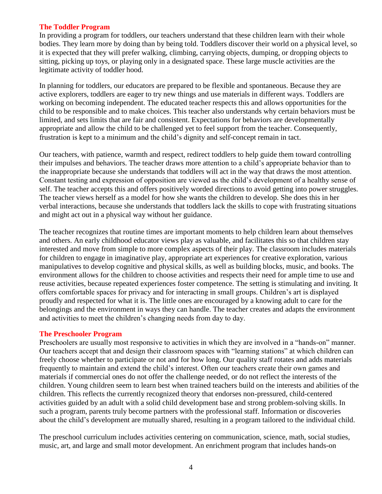#### **The Toddler Program**

In providing a program for toddlers, our teachers understand that these children learn with their whole bodies. They learn more by doing than by being told. Toddlers discover their world on a physical level, so it is expected that they will prefer walking, climbing, carrying objects, dumping, or dropping objects to sitting, picking up toys, or playing only in a designated space. These large muscle activities are the legitimate activity of toddler hood.

In planning for toddlers, our educators are prepared to be flexible and spontaneous. Because they are active explorers, toddlers are eager to try new things and use materials in different ways. Toddlers are working on becoming independent. The educated teacher respects this and allows opportunities for the child to be responsible and to make choices. This teacher also understands why certain behaviors must be limited, and sets limits that are fair and consistent. Expectations for behaviors are developmentally appropriate and allow the child to be challenged yet to feel support from the teacher. Consequently, frustration is kept to a minimum and the child's dignity and self-concept remain in tact.

Our teachers, with patience, warmth and respect, redirect toddlers to help guide them toward controlling their impulses and behaviors. The teacher draws more attention to a child's appropriate behavior than to the inappropriate because she understands that toddlers will act in the way that draws the most attention. Constant testing and expression of opposition are viewed as the child's development of a healthy sense of self. The teacher accepts this and offers positively worded directions to avoid getting into power struggles. The teacher views herself as a model for how she wants the children to develop. She does this in her verbal interactions, because she understands that toddlers lack the skills to cope with frustrating situations and might act out in a physical way without her guidance.

The teacher recognizes that routine times are important moments to help children learn about themselves and others. An early childhood educator views play as valuable, and facilitates this so that children stay interested and move from simple to more complex aspects of their play. The classroom includes materials for children to engage in imaginative play, appropriate art experiences for creative exploration, various manipulatives to develop cognitive and physical skills, as well as building blocks, music, and books. The environment allows for the children to choose activities and respects their need for ample time to use and reuse activities, because repeated experiences foster competence. The setting is stimulating and inviting. It offers comfortable spaces for privacy and for interacting in small groups. Children's art is displayed proudly and respected for what it is. The little ones are encouraged by a knowing adult to care for the belongings and the environment in ways they can handle. The teacher creates and adapts the environment and activities to meet the children's changing needs from day to day.

#### **The Preschooler Program**

Preschoolers are usually most responsive to activities in which they are involved in a "hands-on" manner. Our teachers accept that and design their classroom spaces with "learning stations" at which children can freely choose whether to participate or not and for how long. Our quality staff rotates and adds materials frequently to maintain and extend the child's interest. Often our teachers create their own games and materials if commercial ones do not offer the challenge needed, or do not reflect the interests of the children. Young children seem to learn best when trained teachers build on the interests and abilities of the children. This reflects the currently recognized theory that endorses non-pressured, child-centered activities guided by an adult with a solid child development base and strong problem-solving skills. In such a program, parents truly become partners with the professional staff. Information or discoveries about the child's development are mutually shared, resulting in a program tailored to the individual child.

The preschool curriculum includes activities centering on communication, science, math, social studies, music, art, and large and small motor development. An enrichment program that includes hands-on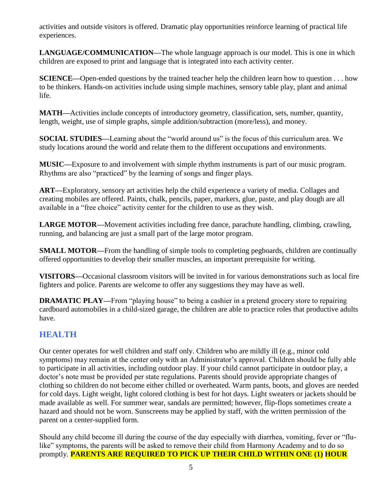activities and outside visitors is offered. Dramatic play opportunities reinforce learning of practical life experiences.

**LANGUAGE/COMMUNICATION—**The whole language approach is our model. This is one in which children are exposed to print and language that is integrated into each activity center.

**SCIENCE—Open-ended questions by the trained teacher help the children learn how to question . . . how** to be thinkers. Hands-on activities include using simple machines, sensory table play, plant and animal life.

**MATH—**Activities include concepts of introductory geometry, classification, sets, number, quantity, length, weight, use of simple graphs, simple addition/subtraction (more/less), and money.

**SOCIAL STUDIES—**Learning about the "world around us" is the focus of this curriculum area. We study locations around the world and relate them to the different occupations and environments.

**MUSIC—**Exposure to and involvement with simple rhythm instruments is part of our music program. Rhythms are also "practiced" by the learning of songs and finger plays.

**ART—**Exploratory, sensory art activities help the child experience a variety of media. Collages and creating mobiles are offered. Paints, chalk, pencils, paper, markers, glue, paste, and play dough are all available in a "free choice" activity center for the children to use as they wish.

**LARGE MOTOR—**Movement activities including free dance, parachute handling, climbing, crawling, running, and balancing are just a small part of the large motor program.

**SMALL MOTOR—From the handling of simple tools to completing pegboards, children are continually** offered opportunities to develop their smaller muscles, an important prerequisite for writing.

**VISITORS—**Occasional classroom visitors will be invited in for various demonstrations such as local fire fighters and police. Parents are welcome to offer any suggestions they may have as well.

**DRAMATIC PLAY—From "playing house" to being a cashier in a pretend grocery store to repairing** cardboard automobiles in a child-sized garage, the children are able to practice roles that productive adults have.

## **HEALTH**

Our center operates for well children and staff only. Children who are mildly ill (e.g., minor cold symptoms) may remain at the center only with an Administrator's approval. Children should be fully able to participate in all activities, including outdoor play. If your child cannot participate in outdoor play, a doctor's note must be provided per state regulations. Parents should provide appropriate changes of clothing so children do not become either chilled or overheated. Warm pants, boots, and gloves are needed for cold days. Light weight, light colored clothing is best for hot days. Light sweaters or jackets should be made available as well. For summer wear, sandals are permitted; however, flip-flops sometimes create a hazard and should not be worn. Sunscreens may be applied by staff, with the written permission of the parent on a center-supplied form.

Should any child become ill during the course of the day especially with diarrhea, vomiting, fever or "flulike" symptoms, the parents will be asked to remove their child from Harmony Academy and to do so promptly. **PARENTS ARE REQUIRED TO PICK UP THEIR CHILD WITHIN ONE (1) HOUR**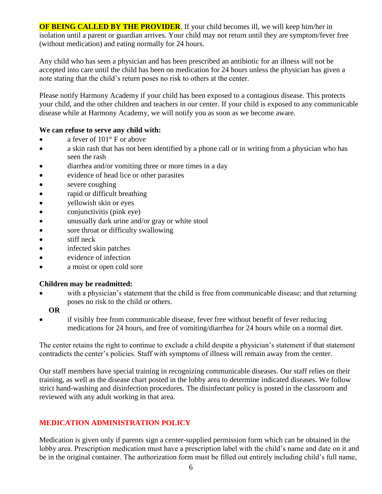**OF BEING CALLED BY THE PROVIDER**. If your child becomes ill, we will keep him/her in isolation until a parent or guardian arrives. Your child may not return until they are symptom/fever free (without medication) and eating normally for 24 hours.

Any child who has seen a physician and has been prescribed an antibiotic for an illness will not be accepted into care until the child has been on medication for 24 hours unless the physician has given a note stating that the child's return poses no risk to others at the center.

Please notify Harmony Academy if your child has been exposed to a contagious disease. This protects your child, and the other children and teachers in our center. If your child is exposed to any communicable disease while at Harmony Academy, we will notify you as soon as we become aware.

### **We can refuse to serve any child with:**

- a fever of  $101^\circ$  F or above
- a skin rash that has not been identified by a phone call or in writing from a physician who has seen the rash
- diarrhea and/or vomiting three or more times in a day
- evidence of head lice or other parasites
- severe coughing
- rapid or difficult breathing
- yellowish skin or eyes
- conjunctivitis (pink eye)
- unusually dark urine and/or gray or white stool
- sore throat or difficulty swallowing
- stiff neck
- infected skin patches
- evidence of infection
- a moist or open cold sore

### **Children may be readmitted:**

- with a physician's statement that the child is free from communicable disease; and that returning poses no risk to the child or others.
	- **OR**
- if visibly free from communicable disease, fever free without benefit of fever reducing medications for 24 hours, and free of vomiting/diarrhea for 24 hours while on a normal diet.

The center retains the right to continue to exclude a child despite a physician's statement if that statement contradicts the center's policies. Staff with symptoms of illness will remain away from the center.

Our staff members have special training in recognizing communicable diseases. Our staff relies on their training, as well as the disease chart posted in the lobby area to determine indicated diseases. We follow strict hand-washing and disinfection procedures. The disinfectant policy is posted in the classroom and reviewed with any adult working in that area.

### **MEDICATION ADMINISTRATION POLICY**

Medication is given only if parents sign a center-supplied permission form which can be obtained in the lobby area. Prescription medication must have a prescription label with the child's name and date on it and be in the original container. The authorization form must be filled out entirely including child's full name,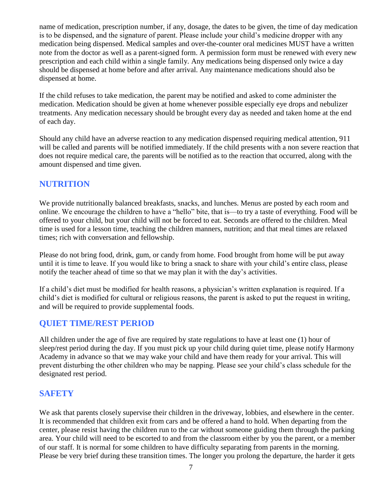name of medication, prescription number, if any, dosage, the dates to be given, the time of day medication is to be dispensed, and the signature of parent. Please include your child's medicine dropper with any medication being dispensed. Medical samples and over-the-counter oral medicines MUST have a written note from the doctor as well as a parent-signed form. A permission form must be renewed with every new prescription and each child within a single family. Any medications being dispensed only twice a day should be dispensed at home before and after arrival. Any maintenance medications should also be dispensed at home.

If the child refuses to take medication, the parent may be notified and asked to come administer the medication. Medication should be given at home whenever possible especially eye drops and nebulizer treatments. Any medication necessary should be brought every day as needed and taken home at the end of each day.

Should any child have an adverse reaction to any medication dispensed requiring medical attention, 911 will be called and parents will be notified immediately. If the child presents with a non severe reaction that does not require medical care, the parents will be notified as to the reaction that occurred, along with the amount dispensed and time given.

## **NUTRITION**

We provide nutritionally balanced breakfasts, snacks, and lunches. Menus are posted by each room and online. We encourage the children to have a "hello" bite, that is—to try a taste of everything. Food will be offered to your child, but your child will not be forced to eat. Seconds are offered to the children. Meal time is used for a lesson time, teaching the children manners, nutrition; and that meal times are relaxed times; rich with conversation and fellowship.

Please do not bring food, drink, gum, or candy from home. Food brought from home will be put away until it is time to leave. If you would like to bring a snack to share with your child's entire class, please notify the teacher ahead of time so that we may plan it with the day's activities.

If a child's diet must be modified for health reasons, a physician's written explanation is required. If a child's diet is modified for cultural or religious reasons, the parent is asked to put the request in writing, and will be required to provide supplemental foods.

### **QUIET TIME/REST PERIOD**

All children under the age of five are required by state regulations to have at least one (1) hour of sleep/rest period during the day. If you must pick up your child during quiet time, please notify Harmony Academy in advance so that we may wake your child and have them ready for your arrival. This will prevent disturbing the other children who may be napping. Please see your child's class schedule for the designated rest period.

### **SAFETY**

We ask that parents closely supervise their children in the driveway, lobbies, and elsewhere in the center. It is recommended that children exit from cars and be offered a hand to hold. When departing from the center, please resist having the children run to the car without someone guiding them through the parking area. Your child will need to be escorted to and from the classroom either by you the parent, or a member of our staff. It is normal for some children to have difficulty separating from parents in the morning. Please be very brief during these transition times. The longer you prolong the departure, the harder it gets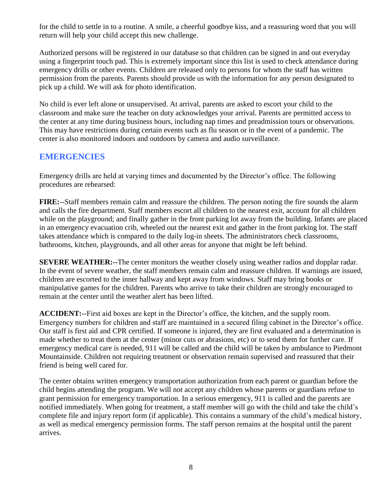for the child to settle in to a routine. A smile, a cheerful goodbye kiss, and a reassuring word that you will return will help your child accept this new challenge.

Authorized persons will be registered in our database so that children can be signed in and out everyday using a fingerprint touch pad. This is extremely important since this list is used to check attendance during emergency drills or other events. Children are released only to persons for whom the staff has written permission from the parents. Parents should provide us with the information for any person designated to pick up a child. We will ask for photo identification.

No child is ever left alone or unsupervised. At arrival, parents are asked to escort your child to the classroom and make sure the teacher on duty acknowledges your arrival. Parents are permitted access to the center at any time during business hours, including nap times and preadmission tours or observations. This may have restrictions during certain events such as flu season or in the event of a pandemic. The center is also monitored indoors and outdoors by camera and audio surveillance.

### **EMERGENCIES**

Emergency drills are held at varying times and documented by the Director's office. The following procedures are rehearsed:

**FIRE:**--Staff members remain calm and reassure the children. The person noting the fire sounds the alarm and calls the fire department. Staff members escort all children to the nearest exit, account for all children while on the playground; and finally gather in the front parking lot away from the building. Infants are placed in an emergency evacuation crib, wheeled out the nearest exit and gather in the front parking lot. The staff takes attendance which is compared to the daily log-in sheets. The administrators check classrooms, bathrooms, kitchen, playgrounds, and all other areas for anyone that might be left behind.

**SEVERE WEATHER:**--The center monitors the weather closely using weather radios and dopplar radar. In the event of severe weather, the staff members remain calm and reassure children. If warnings are issued, children are escorted to the inner hallway and kept away from windows. Staff may bring books or manipulative games for the children. Parents who arrive to take their children are strongly encouraged to remain at the center until the weather alert has been lifted.

**ACCIDENT:**--First aid boxes are kept in the Director's office, the kitchen, and the supply room. Emergency numbers for children and staff are maintained in a secured filing cabinet in the Director's office. Our staff is first aid and CPR certified. If someone is injured, they are first evaluated and a determination is made whether to treat them at the center (minor cuts or abrasions, etc) or to send them for further care. If emergency medical care is needed, 911 will be called and the child will be taken by ambulance to Piedmont Mountainside. Children not requiring treatment or observation remain supervised and reassured that their friend is being well cared for.

The center obtains written emergency transportation authorization from each parent or guardian before the child begins attending the program. We will not accept any children whose parents or guardians refuse to grant permission for emergency transportation. In a serious emergency, 911 is called and the parents are notified immediately. When going for treatment, a staff member will go with the child and take the child's complete file and injury report form (if applicable). This contains a summary of the child's medical history, as well as medical emergency permission forms. The staff person remains at the hospital until the parent arrives.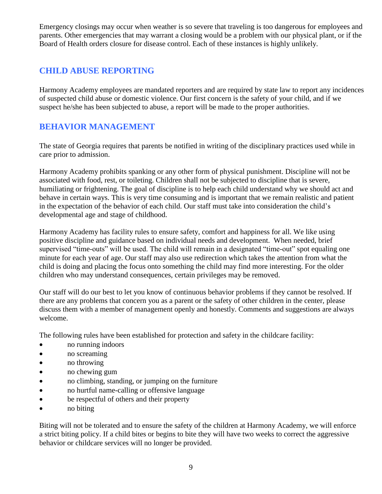Emergency closings may occur when weather is so severe that traveling is too dangerous for employees and parents. Other emergencies that may warrant a closing would be a problem with our physical plant, or if the Board of Health orders closure for disease control. Each of these instances is highly unlikely.

## **CHILD ABUSE REPORTING**

Harmony Academy employees are mandated reporters and are required by state law to report any incidences of suspected child abuse or domestic violence. Our first concern is the safety of your child, and if we suspect he/she has been subjected to abuse, a report will be made to the proper authorities.

## **BEHAVIOR MANAGEMENT**

The state of Georgia requires that parents be notified in writing of the disciplinary practices used while in care prior to admission.

Harmony Academy prohibits spanking or any other form of physical punishment. Discipline will not be associated with food, rest, or toileting. Children shall not be subjected to discipline that is severe, humiliating or frightening. The goal of discipline is to help each child understand why we should act and behave in certain ways. This is very time consuming and is important that we remain realistic and patient in the expectation of the behavior of each child. Our staff must take into consideration the child's developmental age and stage of childhood.

Harmony Academy has facility rules to ensure safety, comfort and happiness for all. We like using positive discipline and guidance based on individual needs and development. When needed, brief supervised "time-outs" will be used. The child will remain in a designated "time-out" spot equaling one minute for each year of age. Our staff may also use redirection which takes the attention from what the child is doing and placing the focus onto something the child may find more interesting. For the older children who may understand consequences, certain privileges may be removed.

Our staff will do our best to let you know of continuous behavior problems if they cannot be resolved. If there are any problems that concern you as a parent or the safety of other children in the center, please discuss them with a member of management openly and honestly. Comments and suggestions are always welcome.

The following rules have been established for protection and safety in the childcare facility:

- no running indoors
- no screaming
- no throwing
- no chewing gum
- no climbing, standing, or jumping on the furniture
- no hurtful name-calling or offensive language
- be respectful of others and their property
- no biting

Biting will not be tolerated and to ensure the safety of the children at Harmony Academy, we will enforce a strict biting policy. If a child bites or begins to bite they will have two weeks to correct the aggressive behavior or childcare services will no longer be provided.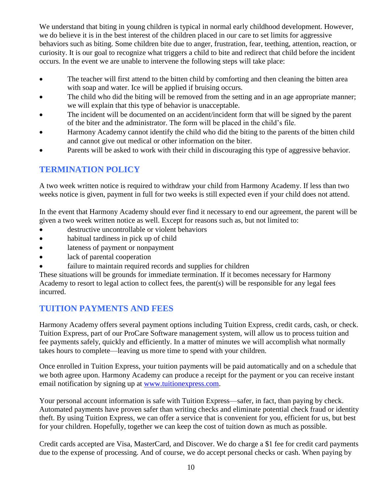We understand that biting in young children is typical in normal early childhood development. However, we do believe it is in the best interest of the children placed in our care to set limits for aggressive behaviors such as biting. Some children bite due to anger, frustration, fear, teething, attention, reaction, or curiosity. It is our goal to recognize what triggers a child to bite and redirect that child before the incident occurs. In the event we are unable to intervene the following steps will take place:

- The teacher will first attend to the bitten child by comforting and then cleaning the bitten area with soap and water. Ice will be applied if bruising occurs.
- The child who did the biting will be removed from the setting and in an age appropriate manner; we will explain that this type of behavior is unacceptable.
- The incident will be documented on an accident/incident form that will be signed by the parent of the biter and the administrator. The form will be placed in the child's file.
- Harmony Academy cannot identify the child who did the biting to the parents of the bitten child and cannot give out medical or other information on the biter.
- Parents will be asked to work with their child in discouraging this type of aggressive behavior.

## **TERMINATION POLICY**

A two week written notice is required to withdraw your child from Harmony Academy. If less than two weeks notice is given, payment in full for two weeks is still expected even if your child does not attend.

In the event that Harmony Academy should ever find it necessary to end our agreement, the parent will be given a two week written notice as well. Except for reasons such as, but not limited to:

- destructive uncontrollable or violent behaviors
- habitual tardiness in pick up of child
- lateness of payment or nonpayment
- lack of parental cooperation
- failure to maintain required records and supplies for children

These situations will be grounds for immediate termination. If it becomes necessary for Harmony Academy to resort to legal action to collect fees, the parent(s) will be responsible for any legal fees incurred.

## **TUITION PAYMENTS AND FEES**

Harmony Academy offers several payment options including Tuition Express, credit cards, cash, or check. Tuition Express, part of our ProCare Software management system, will allow us to process tuition and fee payments safely, quickly and efficiently. In a matter of minutes we will accomplish what normally takes hours to complete—leaving us more time to spend with your children.

Once enrolled in Tuition Express, your tuition payments will be paid automatically and on a schedule that we both agree upon. Harmony Academy can produce a receipt for the payment or you can receive instant email notification by signing up at [www.tuitionexpress.com.](http://www.tuitionexpress.com/)

Your personal account information is safe with Tuition Express—safer, in fact, than paying by check. Automated payments have proven safer than writing checks and eliminate potential check fraud or identity theft. By using Tuition Express, we can offer a service that is convenient for you, efficient for us, but best for your children. Hopefully, together we can keep the cost of tuition down as much as possible.

Credit cards accepted are Visa, MasterCard, and Discover. We do charge a \$1 fee for credit card payments due to the expense of processing. And of course, we do accept personal checks or cash. When paying by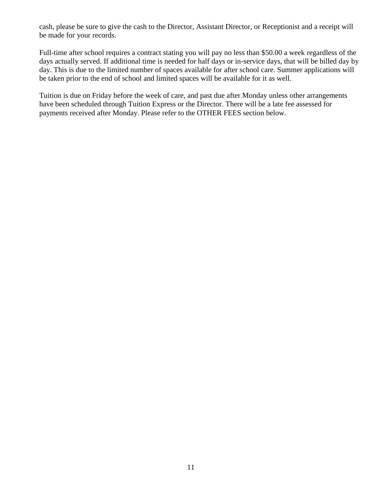cash, please be sure to give the cash to the Director, Assistant Director, or Receptionist and a receipt will be made for your records.

Full-time after school requires a contract stating you will pay no less than \$50.00 a week regardless of the days actually served. If additional time is needed for half days or in-service days, that will be billed day by day. This is due to the limited number of spaces available for after school care. Summer applications will be taken prior to the end of school and limited spaces will be available for it as well.

Tuition is due on Friday before the week of care, and past due after Monday unless other arrangements have been scheduled through Tuition Express or the Director. There will be a late fee assessed for payments received after Monday. Please refer to the OTHER FEES section below.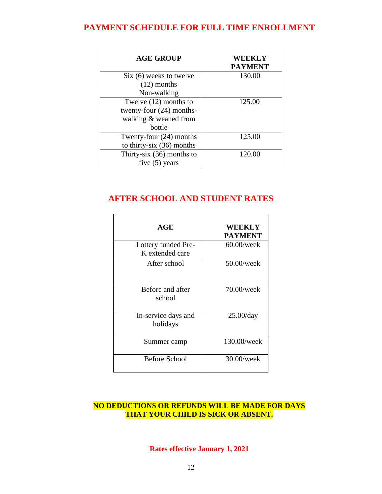### **PAYMENT SCHEDULE FOR FULL TIME ENROLLMENT**

| <b>AGE GROUP</b>            | <b>WEEKLY</b><br><b>PAYMENT</b> |
|-----------------------------|---------------------------------|
| Six (6) weeks to twelve     | 130.00                          |
| $(12)$ months               |                                 |
| Non-walking                 |                                 |
| Twelve $(12)$ months to     | 125.00                          |
| twenty-four $(24)$ months-  |                                 |
| walking $&$ weaned from     |                                 |
| bottle                      |                                 |
| Twenty-four $(24)$ months   | 125.00                          |
| to thirty-six $(36)$ months |                                 |
| Thirty-six $(36)$ months to | 120.00                          |
| five $(5)$ years            |                                 |

# **AFTER SCHOOL AND STUDENT RATES**

| AGE                                    | <b>WEEKLY</b><br><b>PAYMENT</b> |
|----------------------------------------|---------------------------------|
| Lottery funded Pre-<br>K extended care | $60.00$ /week                   |
| After school                           | 50.00/week                      |
| Before and after<br>school             | 70.00/week                      |
| In-service days and<br>holidays        | $25.00$ /day                    |
| Summer camp                            | 130.00/week                     |
| Before School                          | 30.00/week                      |

### **NO DEDUCTIONS OR REFUNDS WILL BE MADE FOR DAYS THAT YOUR CHILD IS SICK OR ABSENT.**

**Rates effective January 1, 2021**